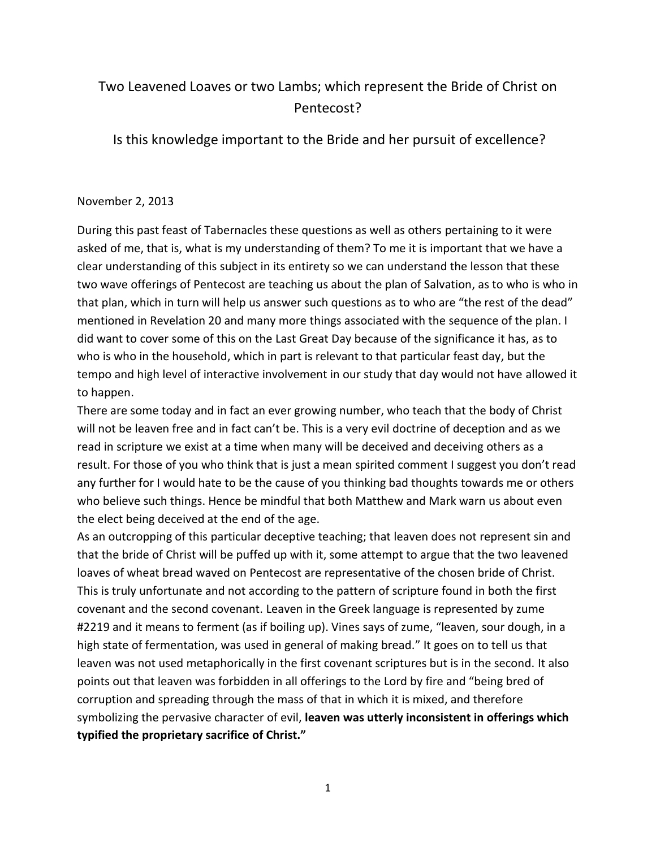## Two Leavened Loaves or two Lambs; which represent the Bride of Christ on Pentecost?

Is this knowledge important to the Bride and her pursuit of excellence?

## November 2, 2013

During this past feast of Tabernacles these questions as well as others pertaining to it were asked of me, that is, what is my understanding of them? To me it is important that we have a clear understanding of this subject in its entirety so we can understand the lesson that these two wave offerings of Pentecost are teaching us about the plan of Salvation, as to who is who in that plan, which in turn will help us answer such questions as to who are "the rest of the dead" mentioned in Revelation 20 and many more things associated with the sequence of the plan. I did want to cover some of this on the Last Great Day because of the significance it has, as to who is who in the household, which in part is relevant to that particular feast day, but the tempo and high level of interactive involvement in our study that day would not have allowed it to happen.

There are some today and in fact an ever growing number, who teach that the body of Christ will not be leaven free and in fact can't be. This is a very evil doctrine of deception and as we read in scripture we exist at a time when many will be deceived and deceiving others as a result. For those of you who think that is just a mean spirited comment I suggest you don't read any further for I would hate to be the cause of you thinking bad thoughts towards me or others who believe such things. Hence be mindful that both Matthew and Mark warn us about even the elect being deceived at the end of the age.

As an outcropping of this particular deceptive teaching; that leaven does not represent sin and that the bride of Christ will be puffed up with it, some attempt to argue that the two leavened loaves of wheat bread waved on Pentecost are representative of the chosen bride of Christ. This is truly unfortunate and not according to the pattern of scripture found in both the first covenant and the second covenant. Leaven in the Greek language is represented by zume #2219 and it means to ferment (as if boiling up). Vines says of zume, "leaven, sour dough, in a high state of fermentation, was used in general of making bread." It goes on to tell us that leaven was not used metaphorically in the first covenant scriptures but is in the second. It also points out that leaven was forbidden in all offerings to the Lord by fire and "being bred of corruption and spreading through the mass of that in which it is mixed, and therefore symbolizing the pervasive character of evil, **leaven was utterly inconsistent in offerings which typified the proprietary sacrifice of Christ."**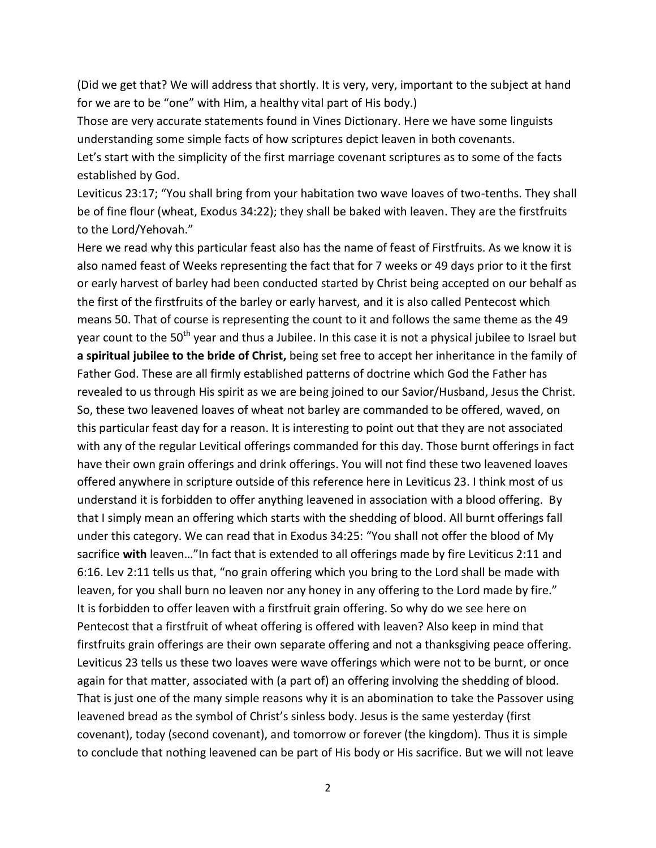(Did we get that? We will address that shortly. It is very, very, important to the subject at hand for we are to be "one" with Him, a healthy vital part of His body.)

Those are very accurate statements found in Vines Dictionary. Here we have some linguists understanding some simple facts of how scriptures depict leaven in both covenants.

Let's start with the simplicity of the first marriage covenant scriptures as to some of the facts established by God.

Leviticus 23:17; "You shall bring from your habitation two wave loaves of two-tenths. They shall be of fine flour (wheat, Exodus 34:22); they shall be baked with leaven. They are the firstfruits to the Lord/Yehovah."

Here we read why this particular feast also has the name of feast of Firstfruits. As we know it is also named feast of Weeks representing the fact that for 7 weeks or 49 days prior to it the first or early harvest of barley had been conducted started by Christ being accepted on our behalf as the first of the firstfruits of the barley or early harvest, and it is also called Pentecost which means 50. That of course is representing the count to it and follows the same theme as the 49 year count to the 50<sup>th</sup> year and thus a Jubilee. In this case it is not a physical jubilee to Israel but **a spiritual jubilee to the bride of Christ,** being set free to accept her inheritance in the family of Father God. These are all firmly established patterns of doctrine which God the Father has revealed to us through His spirit as we are being joined to our Savior/Husband, Jesus the Christ. So, these two leavened loaves of wheat not barley are commanded to be offered, waved, on this particular feast day for a reason. It is interesting to point out that they are not associated with any of the regular Levitical offerings commanded for this day. Those burnt offerings in fact have their own grain offerings and drink offerings. You will not find these two leavened loaves offered anywhere in scripture outside of this reference here in Leviticus 23. I think most of us understand it is forbidden to offer anything leavened in association with a blood offering. By that I simply mean an offering which starts with the shedding of blood. All burnt offerings fall under this category. We can read that in Exodus 34:25: "You shall not offer the blood of My sacrifice **with** leaven…"In fact that is extended to all offerings made by fire Leviticus 2:11 and 6:16. Lev 2:11 tells us that, "no grain offering which you bring to the Lord shall be made with leaven, for you shall burn no leaven nor any honey in any offering to the Lord made by fire." It is forbidden to offer leaven with a firstfruit grain offering. So why do we see here on Pentecost that a firstfruit of wheat offering is offered with leaven? Also keep in mind that firstfruits grain offerings are their own separate offering and not a thanksgiving peace offering. Leviticus 23 tells us these two loaves were wave offerings which were not to be burnt, or once again for that matter, associated with (a part of) an offering involving the shedding of blood. That is just one of the many simple reasons why it is an abomination to take the Passover using leavened bread as the symbol of Christ's sinless body. Jesus is the same yesterday (first covenant), today (second covenant), and tomorrow or forever (the kingdom). Thus it is simple to conclude that nothing leavened can be part of His body or His sacrifice. But we will not leave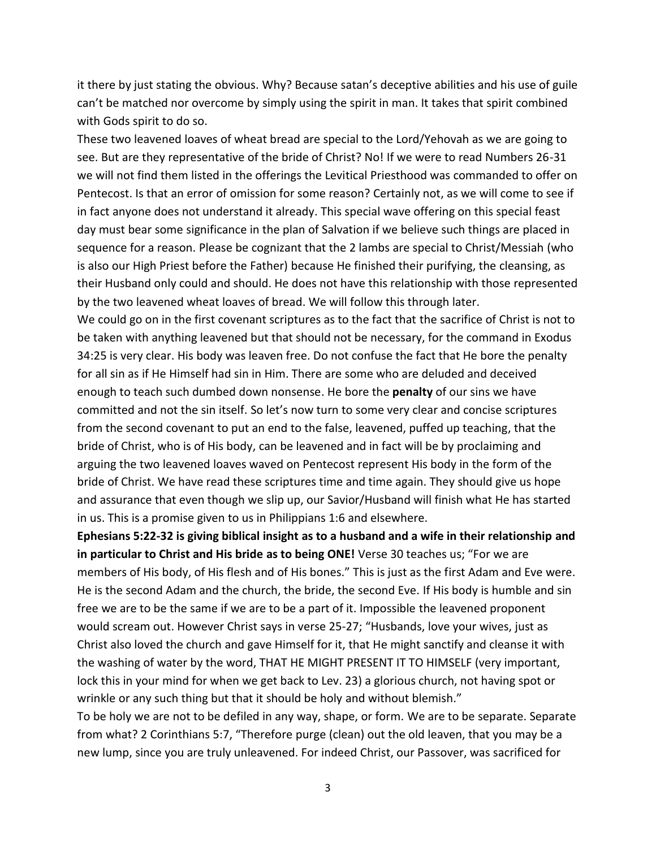it there by just stating the obvious. Why? Because satan's deceptive abilities and his use of guile can't be matched nor overcome by simply using the spirit in man. It takes that spirit combined with Gods spirit to do so.

These two leavened loaves of wheat bread are special to the Lord/Yehovah as we are going to see. But are they representative of the bride of Christ? No! If we were to read Numbers 26-31 we will not find them listed in the offerings the Levitical Priesthood was commanded to offer on Pentecost. Is that an error of omission for some reason? Certainly not, as we will come to see if in fact anyone does not understand it already. This special wave offering on this special feast day must bear some significance in the plan of Salvation if we believe such things are placed in sequence for a reason. Please be cognizant that the 2 lambs are special to Christ/Messiah (who is also our High Priest before the Father) because He finished their purifying, the cleansing, as their Husband only could and should. He does not have this relationship with those represented by the two leavened wheat loaves of bread. We will follow this through later.

We could go on in the first covenant scriptures as to the fact that the sacrifice of Christ is not to be taken with anything leavened but that should not be necessary, for the command in Exodus 34:25 is very clear. His body was leaven free. Do not confuse the fact that He bore the penalty for all sin as if He Himself had sin in Him. There are some who are deluded and deceived enough to teach such dumbed down nonsense. He bore the **penalty** of our sins we have committed and not the sin itself. So let's now turn to some very clear and concise scriptures from the second covenant to put an end to the false, leavened, puffed up teaching, that the bride of Christ, who is of His body, can be leavened and in fact will be by proclaiming and arguing the two leavened loaves waved on Pentecost represent His body in the form of the bride of Christ. We have read these scriptures time and time again. They should give us hope and assurance that even though we slip up, our Savior/Husband will finish what He has started in us. This is a promise given to us in Philippians 1:6 and elsewhere.

**Ephesians 5:22-32 is giving biblical insight as to a husband and a wife in their relationship and in particular to Christ and His bride as to being ONE!** Verse 30 teaches us; "For we are members of His body, of His flesh and of His bones." This is just as the first Adam and Eve were. He is the second Adam and the church, the bride, the second Eve. If His body is humble and sin free we are to be the same if we are to be a part of it. Impossible the leavened proponent would scream out. However Christ says in verse 25-27; "Husbands, love your wives, just as Christ also loved the church and gave Himself for it, that He might sanctify and cleanse it with the washing of water by the word, THAT HE MIGHT PRESENT IT TO HIMSELF (very important, lock this in your mind for when we get back to Lev. 23) a glorious church, not having spot or wrinkle or any such thing but that it should be holy and without blemish."

To be holy we are not to be defiled in any way, shape, or form. We are to be separate. Separate from what? 2 Corinthians 5:7, "Therefore purge (clean) out the old leaven, that you may be a new lump, since you are truly unleavened. For indeed Christ, our Passover, was sacrificed for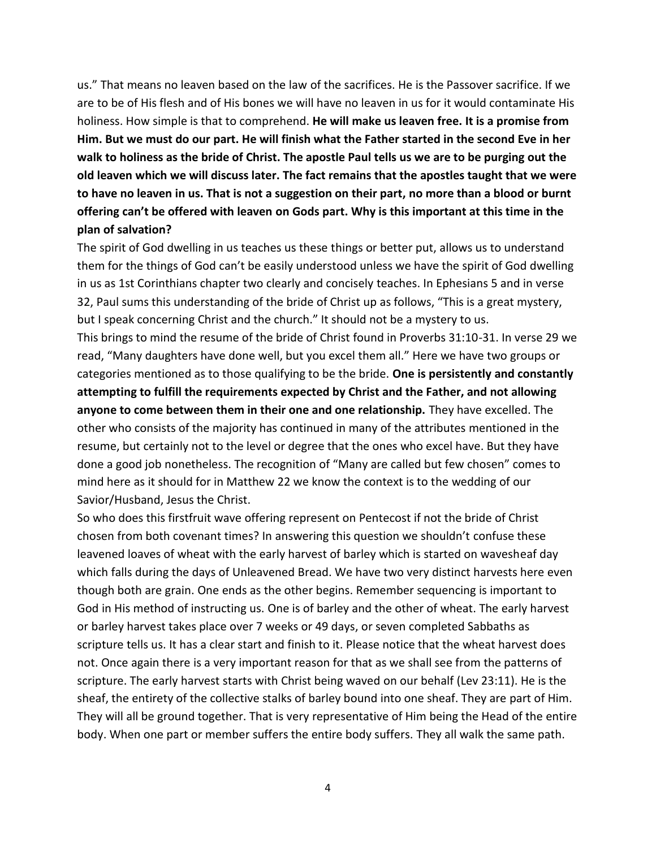us." That means no leaven based on the law of the sacrifices. He is the Passover sacrifice. If we are to be of His flesh and of His bones we will have no leaven in us for it would contaminate His holiness. How simple is that to comprehend. **He will make us leaven free. It is a promise from Him. But we must do our part. He will finish what the Father started in the second Eve in her walk to holiness as the bride of Christ. The apostle Paul tells us we are to be purging out the old leaven which we will discuss later. The fact remains that the apostles taught that we were to have no leaven in us. That is not a suggestion on their part, no more than a blood or burnt offering can't be offered with leaven on Gods part. Why is this important at this time in the plan of salvation?**

The spirit of God dwelling in us teaches us these things or better put, allows us to understand them for the things of God can't be easily understood unless we have the spirit of God dwelling in us as 1st Corinthians chapter two clearly and concisely teaches. In Ephesians 5 and in verse 32, Paul sums this understanding of the bride of Christ up as follows, "This is a great mystery, but I speak concerning Christ and the church." It should not be a mystery to us.

This brings to mind the resume of the bride of Christ found in Proverbs 31:10-31. In verse 29 we read, "Many daughters have done well, but you excel them all." Here we have two groups or categories mentioned as to those qualifying to be the bride. **One is persistently and constantly attempting to fulfill the requirements expected by Christ and the Father, and not allowing anyone to come between them in their one and one relationship.** They have excelled. The other who consists of the majority has continued in many of the attributes mentioned in the resume, but certainly not to the level or degree that the ones who excel have. But they have done a good job nonetheless. The recognition of "Many are called but few chosen" comes to mind here as it should for in Matthew 22 we know the context is to the wedding of our Savior/Husband, Jesus the Christ.

So who does this firstfruit wave offering represent on Pentecost if not the bride of Christ chosen from both covenant times? In answering this question we shouldn't confuse these leavened loaves of wheat with the early harvest of barley which is started on wavesheaf day which falls during the days of Unleavened Bread. We have two very distinct harvests here even though both are grain. One ends as the other begins. Remember sequencing is important to God in His method of instructing us. One is of barley and the other of wheat. The early harvest or barley harvest takes place over 7 weeks or 49 days, or seven completed Sabbaths as scripture tells us. It has a clear start and finish to it. Please notice that the wheat harvest does not. Once again there is a very important reason for that as we shall see from the patterns of scripture. The early harvest starts with Christ being waved on our behalf (Lev 23:11). He is the sheaf, the entirety of the collective stalks of barley bound into one sheaf. They are part of Him. They will all be ground together. That is very representative of Him being the Head of the entire body. When one part or member suffers the entire body suffers. They all walk the same path.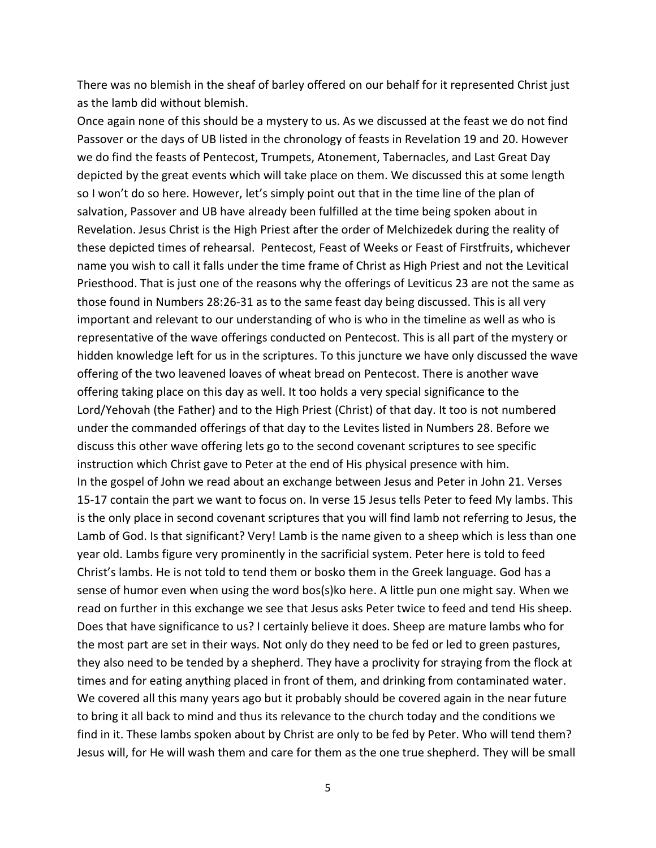There was no blemish in the sheaf of barley offered on our behalf for it represented Christ just as the lamb did without blemish.

Once again none of this should be a mystery to us. As we discussed at the feast we do not find Passover or the days of UB listed in the chronology of feasts in Revelation 19 and 20. However we do find the feasts of Pentecost, Trumpets, Atonement, Tabernacles, and Last Great Day depicted by the great events which will take place on them. We discussed this at some length so I won't do so here. However, let's simply point out that in the time line of the plan of salvation, Passover and UB have already been fulfilled at the time being spoken about in Revelation. Jesus Christ is the High Priest after the order of Melchizedek during the reality of these depicted times of rehearsal. Pentecost, Feast of Weeks or Feast of Firstfruits, whichever name you wish to call it falls under the time frame of Christ as High Priest and not the Levitical Priesthood. That is just one of the reasons why the offerings of Leviticus 23 are not the same as those found in Numbers 28:26-31 as to the same feast day being discussed. This is all very important and relevant to our understanding of who is who in the timeline as well as who is representative of the wave offerings conducted on Pentecost. This is all part of the mystery or hidden knowledge left for us in the scriptures. To this juncture we have only discussed the wave offering of the two leavened loaves of wheat bread on Pentecost. There is another wave offering taking place on this day as well. It too holds a very special significance to the Lord/Yehovah (the Father) and to the High Priest (Christ) of that day. It too is not numbered under the commanded offerings of that day to the Levites listed in Numbers 28. Before we discuss this other wave offering lets go to the second covenant scriptures to see specific instruction which Christ gave to Peter at the end of His physical presence with him. In the gospel of John we read about an exchange between Jesus and Peter in John 21. Verses 15-17 contain the part we want to focus on. In verse 15 Jesus tells Peter to feed My lambs. This is the only place in second covenant scriptures that you will find lamb not referring to Jesus, the Lamb of God. Is that significant? Very! Lamb is the name given to a sheep which is less than one year old. Lambs figure very prominently in the sacrificial system. Peter here is told to feed Christ's lambs. He is not told to tend them or bosko them in the Greek language. God has a sense of humor even when using the word bos(s)ko here. A little pun one might say. When we read on further in this exchange we see that Jesus asks Peter twice to feed and tend His sheep. Does that have significance to us? I certainly believe it does. Sheep are mature lambs who for the most part are set in their ways. Not only do they need to be fed or led to green pastures, they also need to be tended by a shepherd. They have a proclivity for straying from the flock at times and for eating anything placed in front of them, and drinking from contaminated water. We covered all this many years ago but it probably should be covered again in the near future to bring it all back to mind and thus its relevance to the church today and the conditions we find in it. These lambs spoken about by Christ are only to be fed by Peter. Who will tend them? Jesus will, for He will wash them and care for them as the one true shepherd. They will be small

5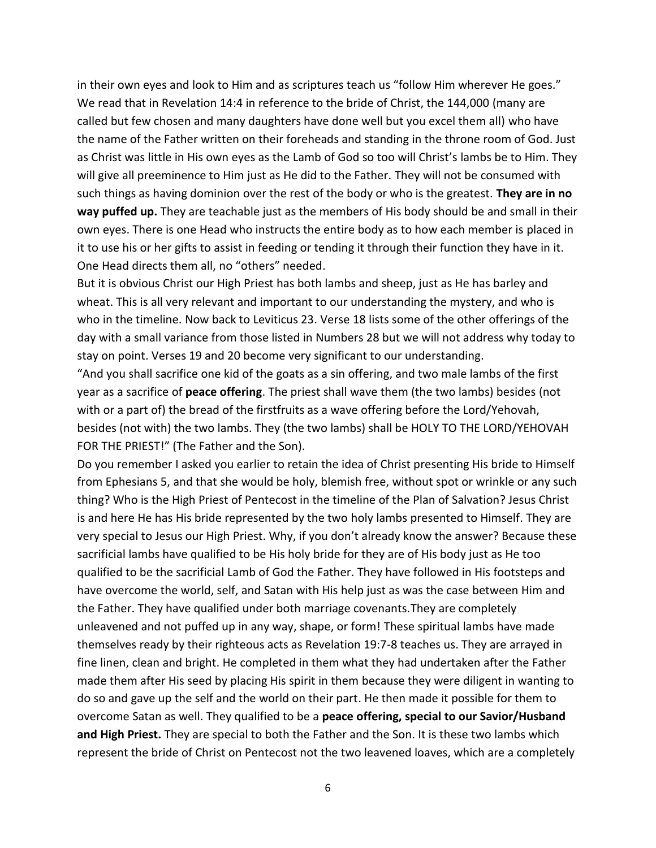in their own eyes and look to Him and as scriptures teach us "follow Him wherever He goes." We read that in Revelation 14:4 in reference to the bride of Christ, the 144,000 (many are called but few chosen and many daughters have done well but you excel them all) who have the name of the Father written on their foreheads and standing in the throne room of God. Just as Christ was little in His own eyes as the Lamb of God so too will Christ's lambs be to Him. They will give all preeminence to Him just as He did to the Father. They will not be consumed with such things as having dominion over the rest of the body or who is the greatest. **They are in no way puffed up.** They are teachable just as the members of His body should be and small in their own eyes. There is one Head who instructs the entire body as to how each member is placed in it to use his or her gifts to assist in feeding or tending it through their function they have in it. One Head directs them all, no "others" needed.

But it is obvious Christ our High Priest has both lambs and sheep, just as He has barley and wheat. This is all very relevant and important to our understanding the mystery, and who is who in the timeline. Now back to Leviticus 23. Verse 18 lists some of the other offerings of the day with a small variance from those listed in Numbers 28 but we will not address why today to stay on point. Verses 19 and 20 become very significant to our understanding.

"And you shall sacrifice one kid of the goats as a sin offering, and two male lambs of the first year as a sacrifice of **peace offering**. The priest shall wave them (the two lambs) besides (not with or a part of) the bread of the firstfruits as a wave offering before the Lord/Yehovah, besides (not with) the two lambs. They (the two lambs) shall be HOLY TO THE LORD/YEHOVAH FOR THE PRIEST!" (The Father and the Son).

Do you remember I asked you earlier to retain the idea of Christ presenting His bride to Himself from Ephesians 5, and that she would be holy, blemish free, without spot or wrinkle or any such thing? Who is the High Priest of Pentecost in the timeline of the Plan of Salvation? Jesus Christ is and here He has His bride represented by the two holy lambs presented to Himself. They are very special to Jesus our High Priest. Why, if you don't already know the answer? Because these sacrificial lambs have qualified to be His holy bride for they are of His body just as He too qualified to be the sacrificial Lamb of God the Father. They have followed in His footsteps and have overcome the world, self, and Satan with His help just as was the case between Him and the Father. They have qualified under both marriage covenants.They are completely unleavened and not puffed up in any way, shape, or form! These spiritual lambs have made themselves ready by their righteous acts as Revelation 19:7-8 teaches us. They are arrayed in fine linen, clean and bright. He completed in them what they had undertaken after the Father made them after His seed by placing His spirit in them because they were diligent in wanting to do so and gave up the self and the world on their part. He then made it possible for them to overcome Satan as well. They qualified to be a **peace offering, special to our Savior/Husband and High Priest.** They are special to both the Father and the Son. It is these two lambs which represent the bride of Christ on Pentecost not the two leavened loaves, which are a completely

6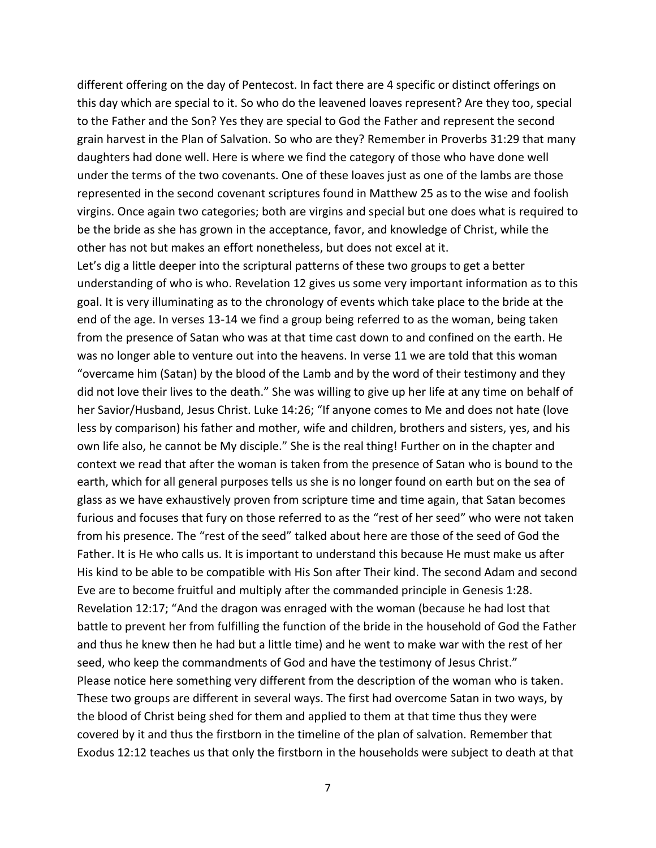different offering on the day of Pentecost. In fact there are 4 specific or distinct offerings on this day which are special to it. So who do the leavened loaves represent? Are they too, special to the Father and the Son? Yes they are special to God the Father and represent the second grain harvest in the Plan of Salvation. So who are they? Remember in Proverbs 31:29 that many daughters had done well. Here is where we find the category of those who have done well under the terms of the two covenants. One of these loaves just as one of the lambs are those represented in the second covenant scriptures found in Matthew 25 as to the wise and foolish virgins. Once again two categories; both are virgins and special but one does what is required to be the bride as she has grown in the acceptance, favor, and knowledge of Christ, while the other has not but makes an effort nonetheless, but does not excel at it.

Let's dig a little deeper into the scriptural patterns of these two groups to get a better understanding of who is who. Revelation 12 gives us some very important information as to this goal. It is very illuminating as to the chronology of events which take place to the bride at the end of the age. In verses 13-14 we find a group being referred to as the woman, being taken from the presence of Satan who was at that time cast down to and confined on the earth. He was no longer able to venture out into the heavens. In verse 11 we are told that this woman "overcame him (Satan) by the blood of the Lamb and by the word of their testimony and they did not love their lives to the death." She was willing to give up her life at any time on behalf of her Savior/Husband, Jesus Christ. Luke 14:26; "If anyone comes to Me and does not hate (love less by comparison) his father and mother, wife and children, brothers and sisters, yes, and his own life also, he cannot be My disciple." She is the real thing! Further on in the chapter and context we read that after the woman is taken from the presence of Satan who is bound to the earth, which for all general purposes tells us she is no longer found on earth but on the sea of glass as we have exhaustively proven from scripture time and time again, that Satan becomes furious and focuses that fury on those referred to as the "rest of her seed" who were not taken from his presence. The "rest of the seed" talked about here are those of the seed of God the Father. It is He who calls us. It is important to understand this because He must make us after His kind to be able to be compatible with His Son after Their kind. The second Adam and second Eve are to become fruitful and multiply after the commanded principle in Genesis 1:28. Revelation 12:17; "And the dragon was enraged with the woman (because he had lost that battle to prevent her from fulfilling the function of the bride in the household of God the Father and thus he knew then he had but a little time) and he went to make war with the rest of her seed, who keep the commandments of God and have the testimony of Jesus Christ." Please notice here something very different from the description of the woman who is taken. These two groups are different in several ways. The first had overcome Satan in two ways, by the blood of Christ being shed for them and applied to them at that time thus they were covered by it and thus the firstborn in the timeline of the plan of salvation. Remember that Exodus 12:12 teaches us that only the firstborn in the households were subject to death at that

7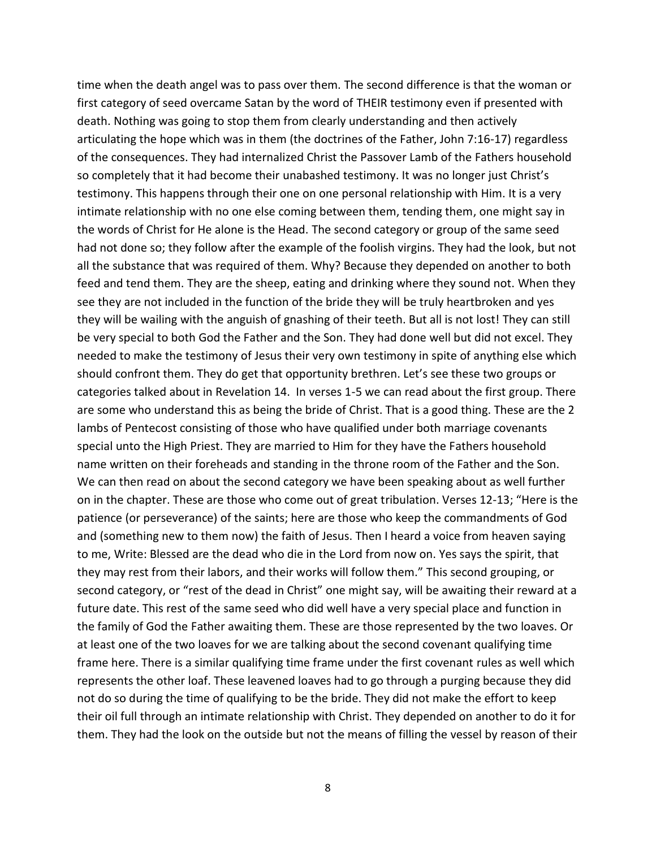time when the death angel was to pass over them. The second difference is that the woman or first category of seed overcame Satan by the word of THEIR testimony even if presented with death. Nothing was going to stop them from clearly understanding and then actively articulating the hope which was in them (the doctrines of the Father, John 7:16-17) regardless of the consequences. They had internalized Christ the Passover Lamb of the Fathers household so completely that it had become their unabashed testimony. It was no longer just Christ's testimony. This happens through their one on one personal relationship with Him. It is a very intimate relationship with no one else coming between them, tending them, one might say in the words of Christ for He alone is the Head. The second category or group of the same seed had not done so; they follow after the example of the foolish virgins. They had the look, but not all the substance that was required of them. Why? Because they depended on another to both feed and tend them. They are the sheep, eating and drinking where they sound not. When they see they are not included in the function of the bride they will be truly heartbroken and yes they will be wailing with the anguish of gnashing of their teeth. But all is not lost! They can still be very special to both God the Father and the Son. They had done well but did not excel. They needed to make the testimony of Jesus their very own testimony in spite of anything else which should confront them. They do get that opportunity brethren. Let's see these two groups or categories talked about in Revelation 14. In verses 1-5 we can read about the first group. There are some who understand this as being the bride of Christ. That is a good thing. These are the 2 lambs of Pentecost consisting of those who have qualified under both marriage covenants special unto the High Priest. They are married to Him for they have the Fathers household name written on their foreheads and standing in the throne room of the Father and the Son. We can then read on about the second category we have been speaking about as well further on in the chapter. These are those who come out of great tribulation. Verses 12-13; "Here is the patience (or perseverance) of the saints; here are those who keep the commandments of God and (something new to them now) the faith of Jesus. Then I heard a voice from heaven saying to me, Write: Blessed are the dead who die in the Lord from now on. Yes says the spirit, that they may rest from their labors, and their works will follow them." This second grouping, or second category, or "rest of the dead in Christ" one might say, will be awaiting their reward at a future date. This rest of the same seed who did well have a very special place and function in the family of God the Father awaiting them. These are those represented by the two loaves. Or at least one of the two loaves for we are talking about the second covenant qualifying time frame here. There is a similar qualifying time frame under the first covenant rules as well which represents the other loaf. These leavened loaves had to go through a purging because they did not do so during the time of qualifying to be the bride. They did not make the effort to keep their oil full through an intimate relationship with Christ. They depended on another to do it for them. They had the look on the outside but not the means of filling the vessel by reason of their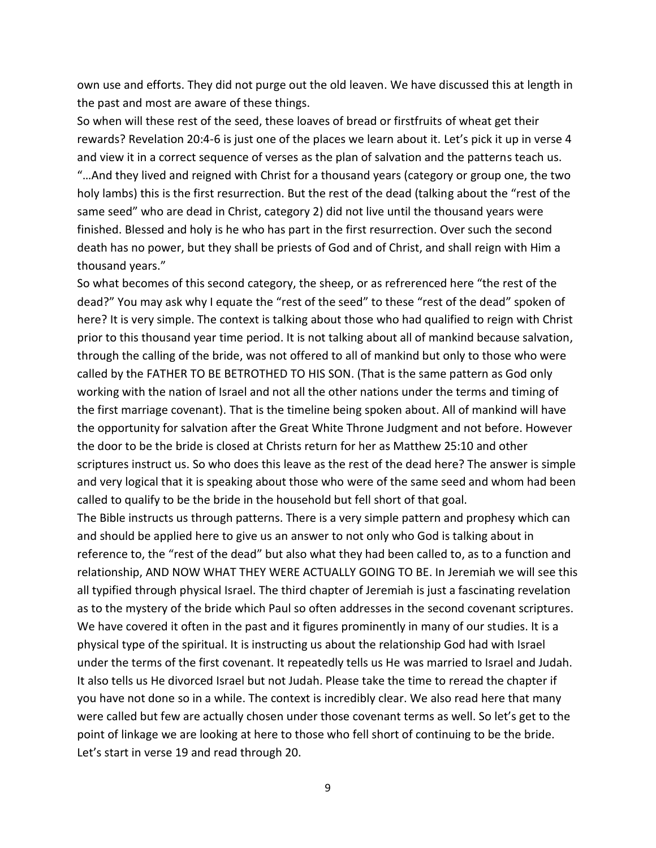own use and efforts. They did not purge out the old leaven. We have discussed this at length in the past and most are aware of these things.

So when will these rest of the seed, these loaves of bread or firstfruits of wheat get their rewards? Revelation 20:4-6 is just one of the places we learn about it. Let's pick it up in verse 4 and view it in a correct sequence of verses as the plan of salvation and the patterns teach us. "…And they lived and reigned with Christ for a thousand years (category or group one, the two holy lambs) this is the first resurrection. But the rest of the dead (talking about the "rest of the same seed" who are dead in Christ, category 2) did not live until the thousand years were finished. Blessed and holy is he who has part in the first resurrection. Over such the second death has no power, but they shall be priests of God and of Christ, and shall reign with Him a thousand years."

So what becomes of this second category, the sheep, or as refrerenced here "the rest of the dead?" You may ask why I equate the "rest of the seed" to these "rest of the dead" spoken of here? It is very simple. The context is talking about those who had qualified to reign with Christ prior to this thousand year time period. It is not talking about all of mankind because salvation, through the calling of the bride, was not offered to all of mankind but only to those who were called by the FATHER TO BE BETROTHED TO HIS SON. (That is the same pattern as God only working with the nation of Israel and not all the other nations under the terms and timing of the first marriage covenant). That is the timeline being spoken about. All of mankind will have the opportunity for salvation after the Great White Throne Judgment and not before. However the door to be the bride is closed at Christs return for her as Matthew 25:10 and other scriptures instruct us. So who does this leave as the rest of the dead here? The answer is simple and very logical that it is speaking about those who were of the same seed and whom had been called to qualify to be the bride in the household but fell short of that goal.

The Bible instructs us through patterns. There is a very simple pattern and prophesy which can and should be applied here to give us an answer to not only who God is talking about in reference to, the "rest of the dead" but also what they had been called to, as to a function and relationship, AND NOW WHAT THEY WERE ACTUALLY GOING TO BE. In Jeremiah we will see this all typified through physical Israel. The third chapter of Jeremiah is just a fascinating revelation as to the mystery of the bride which Paul so often addresses in the second covenant scriptures. We have covered it often in the past and it figures prominently in many of our studies. It is a physical type of the spiritual. It is instructing us about the relationship God had with Israel under the terms of the first covenant. It repeatedly tells us He was married to Israel and Judah. It also tells us He divorced Israel but not Judah. Please take the time to reread the chapter if you have not done so in a while. The context is incredibly clear. We also read here that many were called but few are actually chosen under those covenant terms as well. So let's get to the point of linkage we are looking at here to those who fell short of continuing to be the bride. Let's start in verse 19 and read through 20.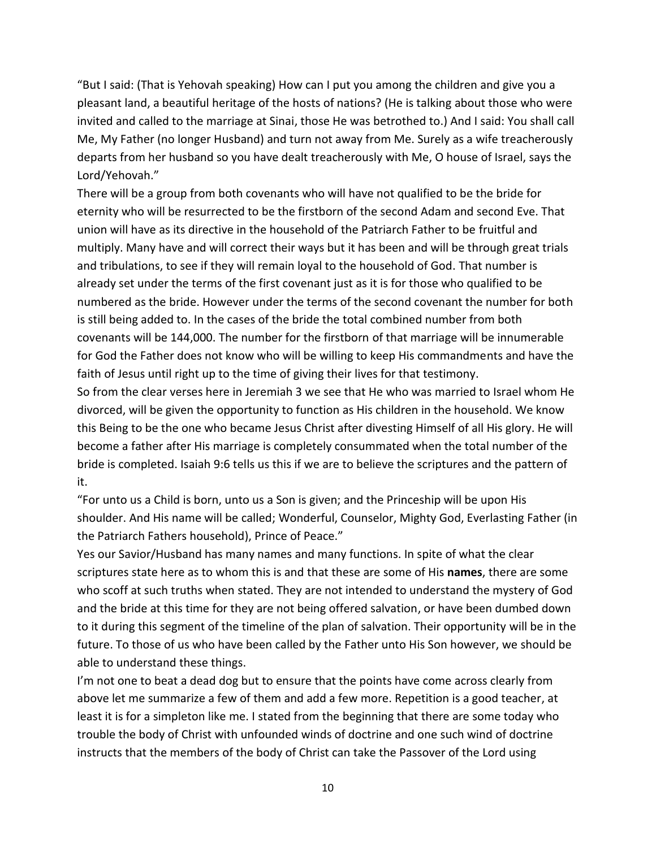"But I said: (That is Yehovah speaking) How can I put you among the children and give you a pleasant land, a beautiful heritage of the hosts of nations? (He is talking about those who were invited and called to the marriage at Sinai, those He was betrothed to.) And I said: You shall call Me, My Father (no longer Husband) and turn not away from Me. Surely as a wife treacherously departs from her husband so you have dealt treacherously with Me, O house of Israel, says the Lord/Yehovah."

There will be a group from both covenants who will have not qualified to be the bride for eternity who will be resurrected to be the firstborn of the second Adam and second Eve. That union will have as its directive in the household of the Patriarch Father to be fruitful and multiply. Many have and will correct their ways but it has been and will be through great trials and tribulations, to see if they will remain loyal to the household of God. That number is already set under the terms of the first covenant just as it is for those who qualified to be numbered as the bride. However under the terms of the second covenant the number for both is still being added to. In the cases of the bride the total combined number from both covenants will be 144,000. The number for the firstborn of that marriage will be innumerable for God the Father does not know who will be willing to keep His commandments and have the faith of Jesus until right up to the time of giving their lives for that testimony.

So from the clear verses here in Jeremiah 3 we see that He who was married to Israel whom He divorced, will be given the opportunity to function as His children in the household. We know this Being to be the one who became Jesus Christ after divesting Himself of all His glory. He will become a father after His marriage is completely consummated when the total number of the bride is completed. Isaiah 9:6 tells us this if we are to believe the scriptures and the pattern of it.

"For unto us a Child is born, unto us a Son is given; and the Princeship will be upon His shoulder. And His name will be called; Wonderful, Counselor, Mighty God, Everlasting Father (in the Patriarch Fathers household), Prince of Peace."

Yes our Savior/Husband has many names and many functions. In spite of what the clear scriptures state here as to whom this is and that these are some of His **names**, there are some who scoff at such truths when stated. They are not intended to understand the mystery of God and the bride at this time for they are not being offered salvation, or have been dumbed down to it during this segment of the timeline of the plan of salvation. Their opportunity will be in the future. To those of us who have been called by the Father unto His Son however, we should be able to understand these things.

I'm not one to beat a dead dog but to ensure that the points have come across clearly from above let me summarize a few of them and add a few more. Repetition is a good teacher, at least it is for a simpleton like me. I stated from the beginning that there are some today who trouble the body of Christ with unfounded winds of doctrine and one such wind of doctrine instructs that the members of the body of Christ can take the Passover of the Lord using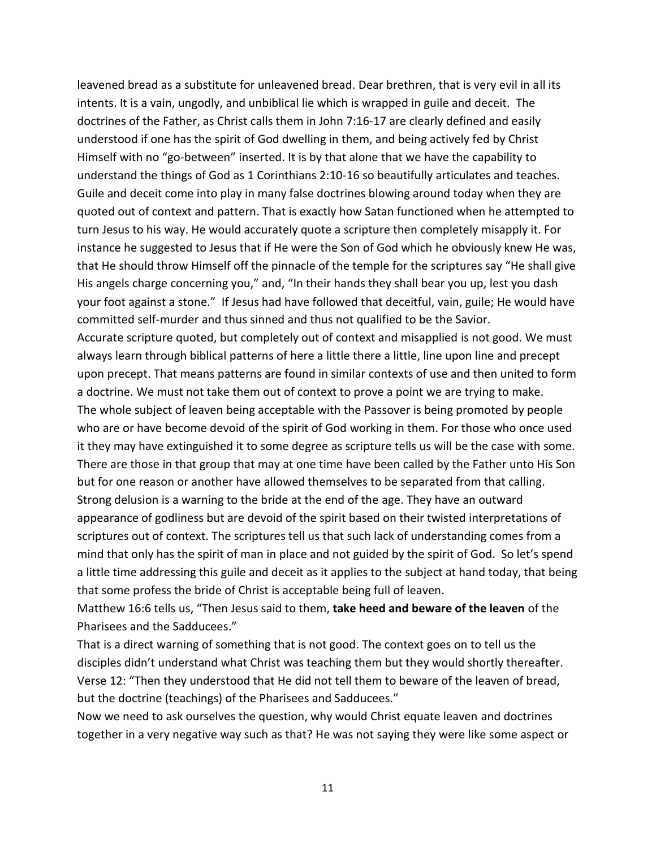leavened bread as a substitute for unleavened bread. Dear brethren, that is very evil in all its intents. It is a vain, ungodly, and unbiblical lie which is wrapped in guile and deceit. The doctrines of the Father, as Christ calls them in John 7:16-17 are clearly defined and easily understood if one has the spirit of God dwelling in them, and being actively fed by Christ Himself with no "go-between" inserted. It is by that alone that we have the capability to understand the things of God as 1 Corinthians 2:10-16 so beautifully articulates and teaches. Guile and deceit come into play in many false doctrines blowing around today when they are quoted out of context and pattern. That is exactly how Satan functioned when he attempted to turn Jesus to his way. He would accurately quote a scripture then completely misapply it. For instance he suggested to Jesus that if He were the Son of God which he obviously knew He was, that He should throw Himself off the pinnacle of the temple for the scriptures say "He shall give His angels charge concerning you," and, "In their hands they shall bear you up, lest you dash your foot against a stone." If Jesus had have followed that deceitful, vain, guile; He would have committed self-murder and thus sinned and thus not qualified to be the Savior.

Accurate scripture quoted, but completely out of context and misapplied is not good. We must always learn through biblical patterns of here a little there a little, line upon line and precept upon precept. That means patterns are found in similar contexts of use and then united to form a doctrine. We must not take them out of context to prove a point we are trying to make. The whole subject of leaven being acceptable with the Passover is being promoted by people who are or have become devoid of the spirit of God working in them. For those who once used it they may have extinguished it to some degree as scripture tells us will be the case with some. There are those in that group that may at one time have been called by the Father unto His Son but for one reason or another have allowed themselves to be separated from that calling. Strong delusion is a warning to the bride at the end of the age. They have an outward appearance of godliness but are devoid of the spirit based on their twisted interpretations of scriptures out of context. The scriptures tell us that such lack of understanding comes from a mind that only has the spirit of man in place and not guided by the spirit of God. So let's spend a little time addressing this guile and deceit as it applies to the subject at hand today, that being that some profess the bride of Christ is acceptable being full of leaven.

Matthew 16:6 tells us, "Then Jesus said to them, **take heed and beware of the leaven** of the Pharisees and the Sadducees."

That is a direct warning of something that is not good. The context goes on to tell us the disciples didn't understand what Christ was teaching them but they would shortly thereafter. Verse 12: "Then they understood that He did not tell them to beware of the leaven of bread, but the doctrine (teachings) of the Pharisees and Sadducees."

Now we need to ask ourselves the question, why would Christ equate leaven and doctrines together in a very negative way such as that? He was not saying they were like some aspect or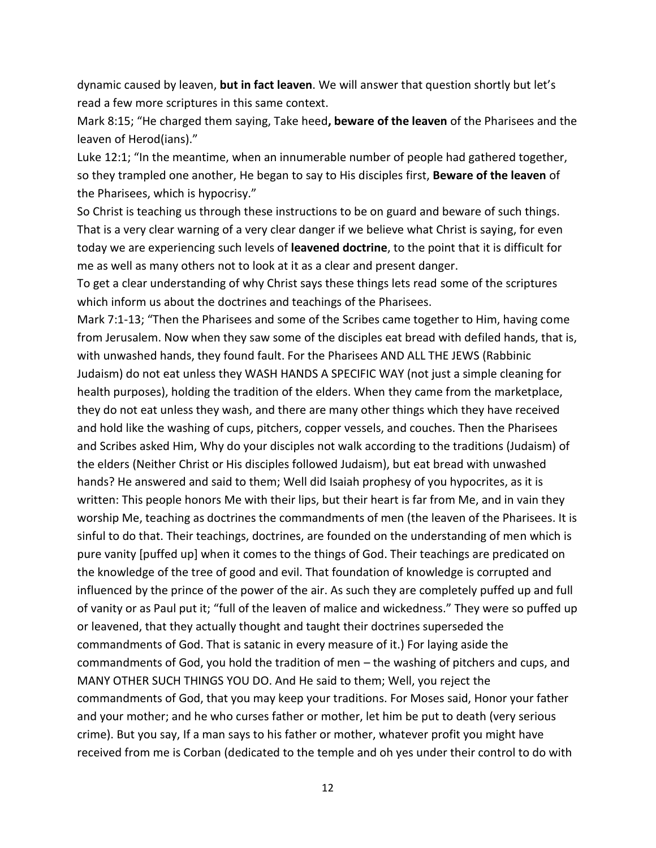dynamic caused by leaven, **but in fact leaven**. We will answer that question shortly but let's read a few more scriptures in this same context.

Mark 8:15; "He charged them saying, Take heed**, beware of the leaven** of the Pharisees and the leaven of Herod(ians)."

Luke 12:1; "In the meantime, when an innumerable number of people had gathered together, so they trampled one another, He began to say to His disciples first, **Beware of the leaven** of the Pharisees, which is hypocrisy."

So Christ is teaching us through these instructions to be on guard and beware of such things. That is a very clear warning of a very clear danger if we believe what Christ is saying, for even today we are experiencing such levels of **leavened doctrine**, to the point that it is difficult for me as well as many others not to look at it as a clear and present danger.

To get a clear understanding of why Christ says these things lets read some of the scriptures which inform us about the doctrines and teachings of the Pharisees.

Mark 7:1-13; "Then the Pharisees and some of the Scribes came together to Him, having come from Jerusalem. Now when they saw some of the disciples eat bread with defiled hands, that is, with unwashed hands, they found fault. For the Pharisees AND ALL THE JEWS (Rabbinic Judaism) do not eat unless they WASH HANDS A SPECIFIC WAY (not just a simple cleaning for health purposes), holding the tradition of the elders. When they came from the marketplace, they do not eat unless they wash, and there are many other things which they have received and hold like the washing of cups, pitchers, copper vessels, and couches. Then the Pharisees and Scribes asked Him, Why do your disciples not walk according to the traditions (Judaism) of the elders (Neither Christ or His disciples followed Judaism), but eat bread with unwashed hands? He answered and said to them; Well did Isaiah prophesy of you hypocrites, as it is written: This people honors Me with their lips, but their heart is far from Me, and in vain they worship Me, teaching as doctrines the commandments of men (the leaven of the Pharisees. It is sinful to do that. Their teachings, doctrines, are founded on the understanding of men which is pure vanity [puffed up] when it comes to the things of God. Their teachings are predicated on the knowledge of the tree of good and evil. That foundation of knowledge is corrupted and influenced by the prince of the power of the air. As such they are completely puffed up and full of vanity or as Paul put it; "full of the leaven of malice and wickedness." They were so puffed up or leavened, that they actually thought and taught their doctrines superseded the commandments of God. That is satanic in every measure of it.) For laying aside the commandments of God, you hold the tradition of men – the washing of pitchers and cups, and MANY OTHER SUCH THINGS YOU DO. And He said to them; Well, you reject the commandments of God, that you may keep your traditions. For Moses said, Honor your father and your mother; and he who curses father or mother, let him be put to death (very serious crime). But you say, If a man says to his father or mother, whatever profit you might have received from me is Corban (dedicated to the temple and oh yes under their control to do with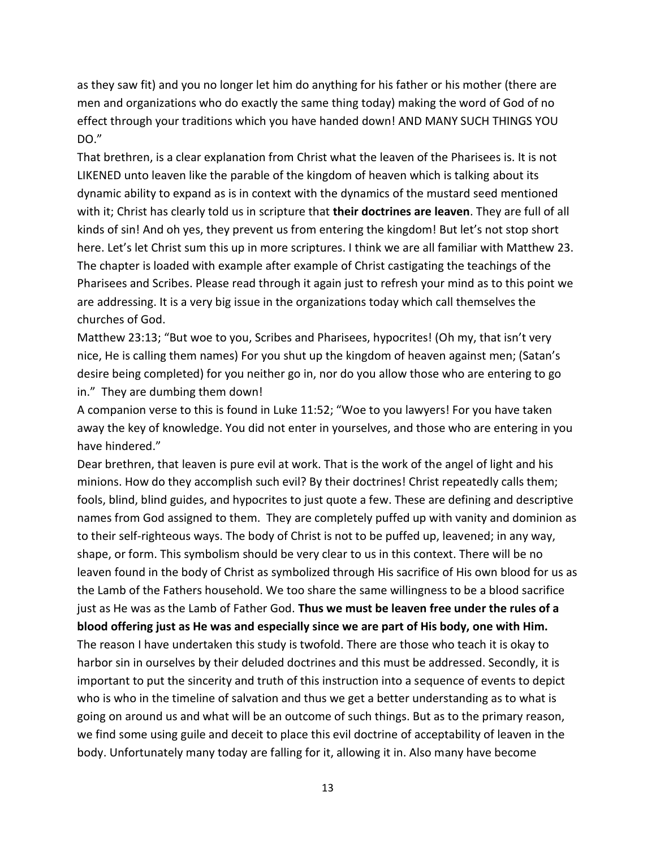as they saw fit) and you no longer let him do anything for his father or his mother (there are men and organizations who do exactly the same thing today) making the word of God of no effect through your traditions which you have handed down! AND MANY SUCH THINGS YOU DO."

That brethren, is a clear explanation from Christ what the leaven of the Pharisees is. It is not LIKENED unto leaven like the parable of the kingdom of heaven which is talking about its dynamic ability to expand as is in context with the dynamics of the mustard seed mentioned with it; Christ has clearly told us in scripture that **their doctrines are leaven**. They are full of all kinds of sin! And oh yes, they prevent us from entering the kingdom! But let's not stop short here. Let's let Christ sum this up in more scriptures. I think we are all familiar with Matthew 23. The chapter is loaded with example after example of Christ castigating the teachings of the Pharisees and Scribes. Please read through it again just to refresh your mind as to this point we are addressing. It is a very big issue in the organizations today which call themselves the churches of God.

Matthew 23:13; "But woe to you, Scribes and Pharisees, hypocrites! (Oh my, that isn't very nice, He is calling them names) For you shut up the kingdom of heaven against men; (Satan's desire being completed) for you neither go in, nor do you allow those who are entering to go in." They are dumbing them down!

A companion verse to this is found in Luke 11:52; "Woe to you lawyers! For you have taken away the key of knowledge. You did not enter in yourselves, and those who are entering in you have hindered."

Dear brethren, that leaven is pure evil at work. That is the work of the angel of light and his minions. How do they accomplish such evil? By their doctrines! Christ repeatedly calls them; fools, blind, blind guides, and hypocrites to just quote a few. These are defining and descriptive names from God assigned to them. They are completely puffed up with vanity and dominion as to their self-righteous ways. The body of Christ is not to be puffed up, leavened; in any way, shape, or form. This symbolism should be very clear to us in this context. There will be no leaven found in the body of Christ as symbolized through His sacrifice of His own blood for us as the Lamb of the Fathers household. We too share the same willingness to be a blood sacrifice just as He was as the Lamb of Father God. **Thus we must be leaven free under the rules of a blood offering just as He was and especially since we are part of His body, one with Him.**

The reason I have undertaken this study is twofold. There are those who teach it is okay to harbor sin in ourselves by their deluded doctrines and this must be addressed. Secondly, it is important to put the sincerity and truth of this instruction into a sequence of events to depict who is who in the timeline of salvation and thus we get a better understanding as to what is going on around us and what will be an outcome of such things. But as to the primary reason, we find some using guile and deceit to place this evil doctrine of acceptability of leaven in the body. Unfortunately many today are falling for it, allowing it in. Also many have become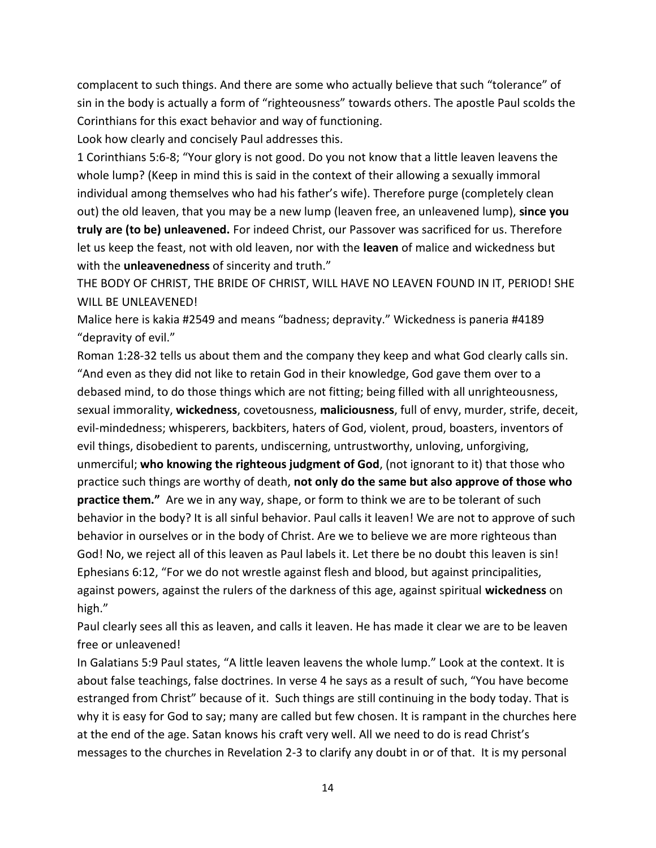complacent to such things. And there are some who actually believe that such "tolerance" of sin in the body is actually a form of "righteousness" towards others. The apostle Paul scolds the Corinthians for this exact behavior and way of functioning.

Look how clearly and concisely Paul addresses this.

1 Corinthians 5:6-8; "Your glory is not good. Do you not know that a little leaven leavens the whole lump? (Keep in mind this is said in the context of their allowing a sexually immoral individual among themselves who had his father's wife). Therefore purge (completely clean out) the old leaven, that you may be a new lump (leaven free, an unleavened lump), **since you truly are (to be) unleavened.** For indeed Christ, our Passover was sacrificed for us. Therefore let us keep the feast, not with old leaven, nor with the **leaven** of malice and wickedness but with the **unleavenedness** of sincerity and truth."

THE BODY OF CHRIST, THE BRIDE OF CHRIST, WILL HAVE NO LEAVEN FOUND IN IT, PERIOD! SHE WILL BE UNLEAVENED!

Malice here is kakia #2549 and means "badness; depravity." Wickedness is paneria #4189 "depravity of evil."

Roman 1:28-32 tells us about them and the company they keep and what God clearly calls sin. "And even as they did not like to retain God in their knowledge, God gave them over to a debased mind, to do those things which are not fitting; being filled with all unrighteousness, sexual immorality, **wickedness**, covetousness, **maliciousness**, full of envy, murder, strife, deceit, evil-mindedness; whisperers, backbiters, haters of God, violent, proud, boasters, inventors of evil things, disobedient to parents, undiscerning, untrustworthy, unloving, unforgiving, unmerciful; **who knowing the righteous judgment of God**, (not ignorant to it) that those who practice such things are worthy of death, **not only do the same but also approve of those who practice them."** Are we in any way, shape, or form to think we are to be tolerant of such behavior in the body? It is all sinful behavior. Paul calls it leaven! We are not to approve of such behavior in ourselves or in the body of Christ. Are we to believe we are more righteous than God! No, we reject all of this leaven as Paul labels it. Let there be no doubt this leaven is sin! Ephesians 6:12, "For we do not wrestle against flesh and blood, but against principalities, against powers, against the rulers of the darkness of this age, against spiritual **wickedness** on high."

Paul clearly sees all this as leaven, and calls it leaven. He has made it clear we are to be leaven free or unleavened!

In Galatians 5:9 Paul states, "A little leaven leavens the whole lump." Look at the context. It is about false teachings, false doctrines. In verse 4 he says as a result of such, "You have become estranged from Christ" because of it. Such things are still continuing in the body today. That is why it is easy for God to say; many are called but few chosen. It is rampant in the churches here at the end of the age. Satan knows his craft very well. All we need to do is read Christ's messages to the churches in Revelation 2-3 to clarify any doubt in or of that. It is my personal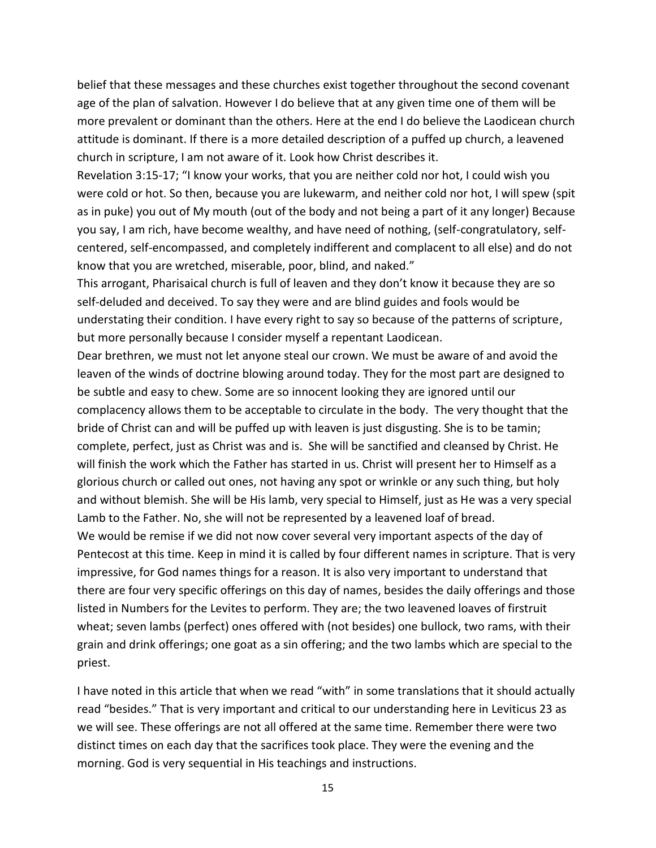belief that these messages and these churches exist together throughout the second covenant age of the plan of salvation. However I do believe that at any given time one of them will be more prevalent or dominant than the others. Here at the end I do believe the Laodicean church attitude is dominant. If there is a more detailed description of a puffed up church, a leavened church in scripture, I am not aware of it. Look how Christ describes it.

Revelation 3:15-17; "I know your works, that you are neither cold nor hot, I could wish you were cold or hot. So then, because you are lukewarm, and neither cold nor hot, I will spew (spit as in puke) you out of My mouth (out of the body and not being a part of it any longer) Because you say, I am rich, have become wealthy, and have need of nothing, (self-congratulatory, selfcentered, self-encompassed, and completely indifferent and complacent to all else) and do not know that you are wretched, miserable, poor, blind, and naked."

This arrogant, Pharisaical church is full of leaven and they don't know it because they are so self-deluded and deceived. To say they were and are blind guides and fools would be understating their condition. I have every right to say so because of the patterns of scripture, but more personally because I consider myself a repentant Laodicean.

Dear brethren, we must not let anyone steal our crown. We must be aware of and avoid the leaven of the winds of doctrine blowing around today. They for the most part are designed to be subtle and easy to chew. Some are so innocent looking they are ignored until our complacency allows them to be acceptable to circulate in the body. The very thought that the bride of Christ can and will be puffed up with leaven is just disgusting. She is to be tamin; complete, perfect, just as Christ was and is. She will be sanctified and cleansed by Christ. He will finish the work which the Father has started in us. Christ will present her to Himself as a glorious church or called out ones, not having any spot or wrinkle or any such thing, but holy and without blemish. She will be His lamb, very special to Himself, just as He was a very special Lamb to the Father. No, she will not be represented by a leavened loaf of bread.

We would be remise if we did not now cover several very important aspects of the day of Pentecost at this time. Keep in mind it is called by four different names in scripture. That is very impressive, for God names things for a reason. It is also very important to understand that there are four very specific offerings on this day of names, besides the daily offerings and those listed in Numbers for the Levites to perform. They are; the two leavened loaves of firstruit wheat; seven lambs (perfect) ones offered with (not besides) one bullock, two rams, with their grain and drink offerings; one goat as a sin offering; and the two lambs which are special to the priest.

I have noted in this article that when we read "with" in some translations that it should actually read "besides." That is very important and critical to our understanding here in Leviticus 23 as we will see. These offerings are not all offered at the same time. Remember there were two distinct times on each day that the sacrifices took place. They were the evening and the morning. God is very sequential in His teachings and instructions.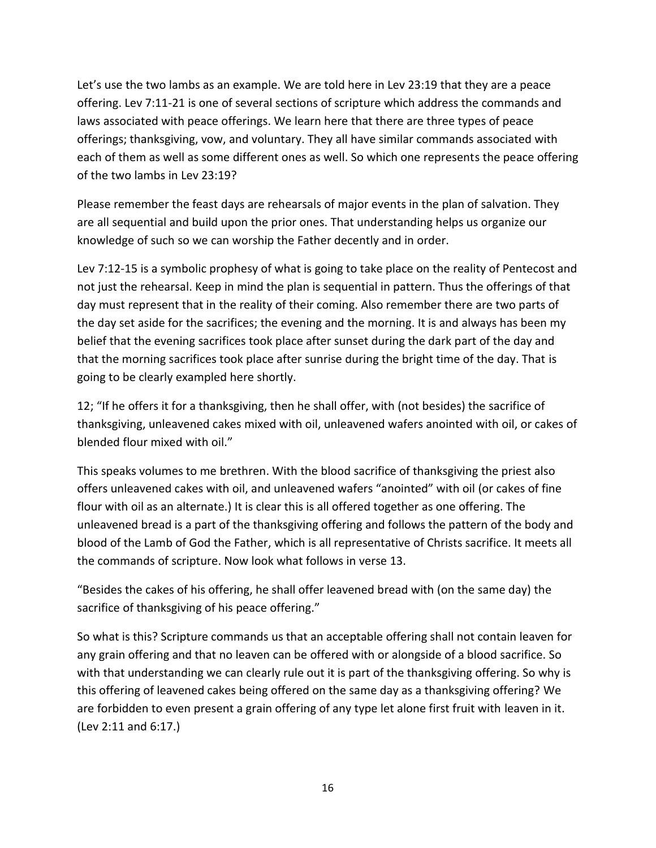Let's use the two lambs as an example. We are told here in Lev 23:19 that they are a peace offering. Lev 7:11-21 is one of several sections of scripture which address the commands and laws associated with peace offerings. We learn here that there are three types of peace offerings; thanksgiving, vow, and voluntary. They all have similar commands associated with each of them as well as some different ones as well. So which one represents the peace offering of the two lambs in Lev 23:19?

Please remember the feast days are rehearsals of major events in the plan of salvation. They are all sequential and build upon the prior ones. That understanding helps us organize our knowledge of such so we can worship the Father decently and in order.

Lev 7:12-15 is a symbolic prophesy of what is going to take place on the reality of Pentecost and not just the rehearsal. Keep in mind the plan is sequential in pattern. Thus the offerings of that day must represent that in the reality of their coming. Also remember there are two parts of the day set aside for the sacrifices; the evening and the morning. It is and always has been my belief that the evening sacrifices took place after sunset during the dark part of the day and that the morning sacrifices took place after sunrise during the bright time of the day. That is going to be clearly exampled here shortly.

12; "If he offers it for a thanksgiving, then he shall offer, with (not besides) the sacrifice of thanksgiving, unleavened cakes mixed with oil, unleavened wafers anointed with oil, or cakes of blended flour mixed with oil."

This speaks volumes to me brethren. With the blood sacrifice of thanksgiving the priest also offers unleavened cakes with oil, and unleavened wafers "anointed" with oil (or cakes of fine flour with oil as an alternate.) It is clear this is all offered together as one offering. The unleavened bread is a part of the thanksgiving offering and follows the pattern of the body and blood of the Lamb of God the Father, which is all representative of Christs sacrifice. It meets all the commands of scripture. Now look what follows in verse 13.

"Besides the cakes of his offering, he shall offer leavened bread with (on the same day) the sacrifice of thanksgiving of his peace offering."

So what is this? Scripture commands us that an acceptable offering shall not contain leaven for any grain offering and that no leaven can be offered with or alongside of a blood sacrifice. So with that understanding we can clearly rule out it is part of the thanksgiving offering. So why is this offering of leavened cakes being offered on the same day as a thanksgiving offering? We are forbidden to even present a grain offering of any type let alone first fruit with leaven in it. (Lev 2:11 and 6:17.)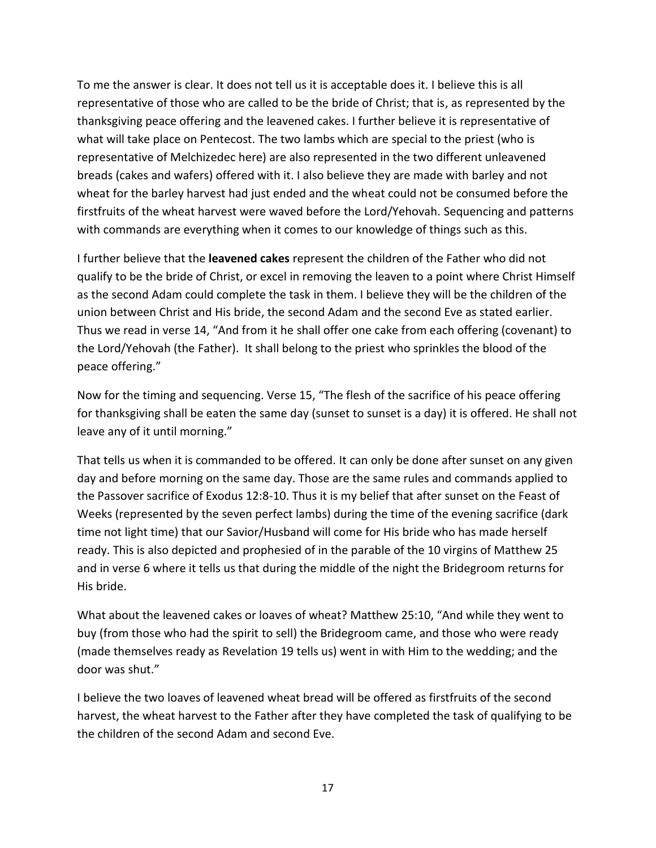To me the answer is clear. It does not tell us it is acceptable does it. I believe this is all representative of those who are called to be the bride of Christ; that is, as represented by the thanksgiving peace offering and the leavened cakes. I further believe it is representative of what will take place on Pentecost. The two lambs which are special to the priest (who is representative of Melchizedec here) are also represented in the two different unleavened breads (cakes and wafers) offered with it. I also believe they are made with barley and not wheat for the barley harvest had just ended and the wheat could not be consumed before the firstfruits of the wheat harvest were waved before the Lord/Yehovah. Sequencing and patterns with commands are everything when it comes to our knowledge of things such as this.

I further believe that the **leavened cakes** represent the children of the Father who did not qualify to be the bride of Christ, or excel in removing the leaven to a point where Christ Himself as the second Adam could complete the task in them. I believe they will be the children of the union between Christ and His bride, the second Adam and the second Eve as stated earlier. Thus we read in verse 14, "And from it he shall offer one cake from each offering (covenant) to the Lord/Yehovah (the Father). It shall belong to the priest who sprinkles the blood of the peace offering."

Now for the timing and sequencing. Verse 15, "The flesh of the sacrifice of his peace offering for thanksgiving shall be eaten the same day (sunset to sunset is a day) it is offered. He shall not leave any of it until morning."

That tells us when it is commanded to be offered. It can only be done after sunset on any given day and before morning on the same day. Those are the same rules and commands applied to the Passover sacrifice of Exodus 12:8-10. Thus it is my belief that after sunset on the Feast of Weeks (represented by the seven perfect lambs) during the time of the evening sacrifice (dark time not light time) that our Savior/Husband will come for His bride who has made herself ready. This is also depicted and prophesied of in the parable of the 10 virgins of Matthew 25 and in verse 6 where it tells us that during the middle of the night the Bridegroom returns for His bride.

What about the leavened cakes or loaves of wheat? Matthew 25:10, "And while they went to buy (from those who had the spirit to sell) the Bridegroom came, and those who were ready (made themselves ready as Revelation 19 tells us) went in with Him to the wedding; and the door was shut."

I believe the two loaves of leavened wheat bread will be offered as firstfruits of the second harvest, the wheat harvest to the Father after they have completed the task of qualifying to be the children of the second Adam and second Eve.